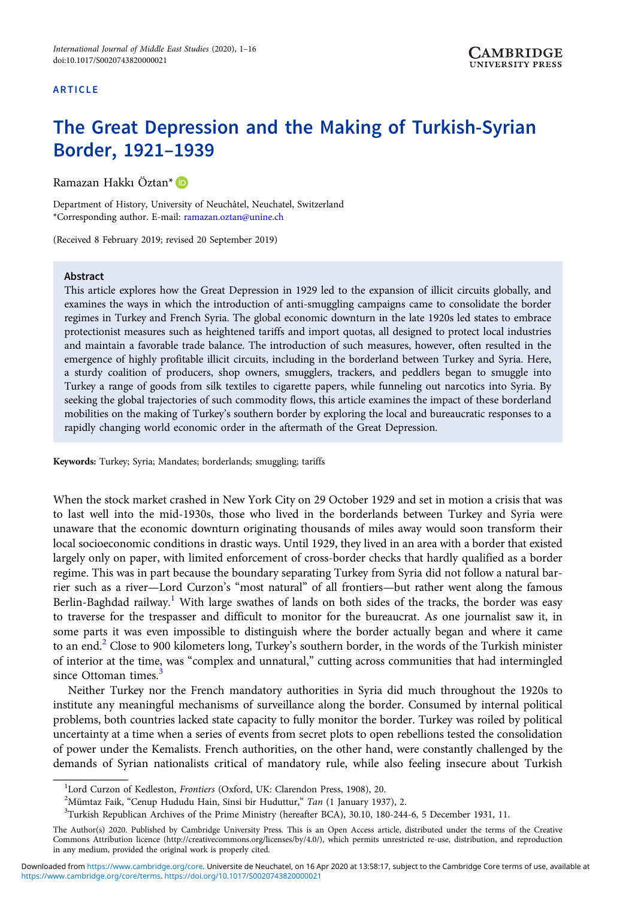#### ARTICLE

# The Great Depression and the Making of Turkish-Syrian Border, 1921–1939

Ramazan Hakkı Öztan\*

Department of History, University of Neuchâtel, Neuchatel, Switzerland \*Corresponding author. E-mail: [ramazan.oztan@unine.ch](mailto:ramazan.oztan@unine.ch)

(Received 8 February 2019; revised 20 September 2019)

#### Abstract

This article explores how the Great Depression in 1929 led to the expansion of illicit circuits globally, and examines the ways in which the introduction of anti-smuggling campaigns came to consolidate the border regimes in Turkey and French Syria. The global economic downturn in the late 1920s led states to embrace protectionist measures such as heightened tariffs and import quotas, all designed to protect local industries and maintain a favorable trade balance. The introduction of such measures, however, often resulted in the emergence of highly profitable illicit circuits, including in the borderland between Turkey and Syria. Here, a sturdy coalition of producers, shop owners, smugglers, trackers, and peddlers began to smuggle into Turkey a range of goods from silk textiles to cigarette papers, while funneling out narcotics into Syria. By seeking the global trajectories of such commodity flows, this article examines the impact of these borderland mobilities on the making of Turkey's southern border by exploring the local and bureaucratic responses to a rapidly changing world economic order in the aftermath of the Great Depression.

Keywords: Turkey; Syria; Mandates; borderlands; smuggling; tariffs

When the stock market crashed in New York City on 29 October 1929 and set in motion a crisis that was to last well into the mid-1930s, those who lived in the borderlands between Turkey and Syria were unaware that the economic downturn originating thousands of miles away would soon transform their local socioeconomic conditions in drastic ways. Until 1929, they lived in an area with a border that existed largely only on paper, with limited enforcement of cross-border checks that hardly qualified as a border regime. This was in part because the boundary separating Turkey from Syria did not follow a natural barrier such as a river—Lord Curzon's "most natural" of all frontiers—but rather went along the famous Berlin-Baghdad railway.<sup>1</sup> With large swathes of lands on both sides of the tracks, the border was easy to traverse for the trespasser and difficult to monitor for the bureaucrat. As one journalist saw it, in some parts it was even impossible to distinguish where the border actually began and where it came to an end.<sup>2</sup> Close to 900 kilometers long, Turkey's southern border, in the words of the Turkish minister of interior at the time, was "complex and unnatural," cutting across communities that had intermingled since Ottoman times.<sup>3</sup>

Neither Turkey nor the French mandatory authorities in Syria did much throughout the 1920s to institute any meaningful mechanisms of surveillance along the border. Consumed by internal political problems, both countries lacked state capacity to fully monitor the border. Turkey was roiled by political uncertainty at a time when a series of events from secret plots to open rebellions tested the consolidation of power under the Kemalists. French authorities, on the other hand, were constantly challenged by the demands of Syrian nationalists critical of mandatory rule, while also feeling insecure about Turkish

<sup>&</sup>lt;sup>1</sup>Lord Curzon of Kedleston, *Frontiers* (Oxford, UK: Clarendon Press, 1908), 20.<br><sup>2</sup>Mümtaz Faik "Cenun Hududu Hain, Sinsi bir Huduttur." *Tan* (1 January 193

 $^{2}$ Mümtaz Faik, "Cenup Hududu Hain, Sinsi bir Huduttur," Tan (1 January 1937), 2.

<sup>&</sup>lt;sup>3</sup>Turkish Republican Archives of the Prime Ministry (hereafter BCA), 30.10, 180-244-6, 5 December 1931, 11.

The Author(s) 2020. Published by Cambridge University Press. This is an Open Access article, distributed under the terms of the Creative Commons Attribution licence (http://creativecommons.org/licenses/by/4.0/), which permits unrestricted re-use, distribution, and reproduction in any medium, provided the original work is properly cited.

[https://www.cambridge.org/core/terms.](https://www.cambridge.org/core/terms) <https://doi.org/10.1017/S0020743820000021> Downloaded from [https://www.cambridge.org/core.](https://www.cambridge.org/core) Universite de Neuchatel, on 16 Apr 2020 at 13:58:17, subject to the Cambridge Core terms of use, available at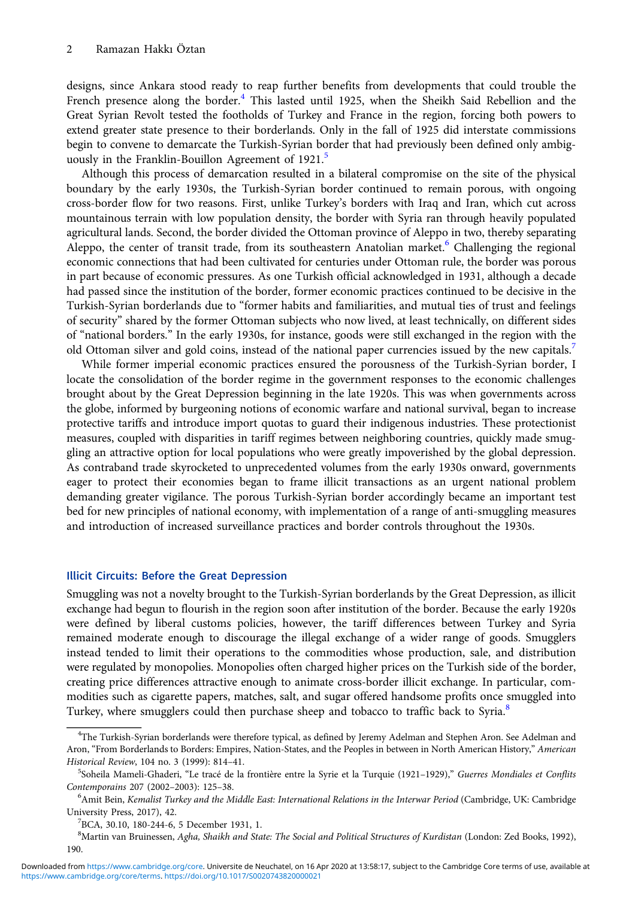designs, since Ankara stood ready to reap further benefits from developments that could trouble the French presence along the border.<sup>4</sup> This lasted until 1925, when the Sheikh Said Rebellion and the Great Syrian Revolt tested the footholds of Turkey and France in the region, forcing both powers to extend greater state presence to their borderlands. Only in the fall of 1925 did interstate commissions begin to convene to demarcate the Turkish-Syrian border that had previously been defined only ambiguously in the Franklin-Bouillon Agreement of 1921.<sup>5</sup>

Although this process of demarcation resulted in a bilateral compromise on the site of the physical boundary by the early 1930s, the Turkish-Syrian border continued to remain porous, with ongoing cross-border flow for two reasons. First, unlike Turkey's borders with Iraq and Iran, which cut across mountainous terrain with low population density, the border with Syria ran through heavily populated agricultural lands. Second, the border divided the Ottoman province of Aleppo in two, thereby separating Aleppo, the center of transit trade, from its southeastern Anatolian market.<sup>6</sup> Challenging the regional economic connections that had been cultivated for centuries under Ottoman rule, the border was porous in part because of economic pressures. As one Turkish official acknowledged in 1931, although a decade had passed since the institution of the border, former economic practices continued to be decisive in the Turkish-Syrian borderlands due to "former habits and familiarities, and mutual ties of trust and feelings of security" shared by the former Ottoman subjects who now lived, at least technically, on different sides of "national borders." In the early 1930s, for instance, goods were still exchanged in the region with the old Ottoman silver and gold coins, instead of the national paper currencies issued by the new capitals.<sup>7</sup>

While former imperial economic practices ensured the porousness of the Turkish-Syrian border, I locate the consolidation of the border regime in the government responses to the economic challenges brought about by the Great Depression beginning in the late 1920s. This was when governments across the globe, informed by burgeoning notions of economic warfare and national survival, began to increase protective tariffs and introduce import quotas to guard their indigenous industries. These protectionist measures, coupled with disparities in tariff regimes between neighboring countries, quickly made smuggling an attractive option for local populations who were greatly impoverished by the global depression. As contraband trade skyrocketed to unprecedented volumes from the early 1930s onward, governments eager to protect their economies began to frame illicit transactions as an urgent national problem demanding greater vigilance. The porous Turkish-Syrian border accordingly became an important test bed for new principles of national economy, with implementation of a range of anti-smuggling measures and introduction of increased surveillance practices and border controls throughout the 1930s.

## Illicit Circuits: Before the Great Depression

Smuggling was not a novelty brought to the Turkish-Syrian borderlands by the Great Depression, as illicit exchange had begun to flourish in the region soon after institution of the border. Because the early 1920s were defined by liberal customs policies, however, the tariff differences between Turkey and Syria remained moderate enough to discourage the illegal exchange of a wider range of goods. Smugglers instead tended to limit their operations to the commodities whose production, sale, and distribution were regulated by monopolies. Monopolies often charged higher prices on the Turkish side of the border, creating price differences attractive enough to animate cross-border illicit exchange. In particular, commodities such as cigarette papers, matches, salt, and sugar offered handsome profits once smuggled into Turkey, where smugglers could then purchase sheep and tobacco to traffic back to Syria.<sup>8</sup>

<sup>4</sup> The Turkish-Syrian borderlands were therefore typical, as defined by Jeremy Adelman and Stephen Aron. See Adelman and Aron, "From Borderlands to Borders: Empires, Nation-States, and the Peoples in between in North American History," American Historical Review, 104 no. 3 (1999): 814–41. <sup>5</sup>

<sup>&</sup>lt;sup>5</sup>Soheila Mameli-Ghaderi, "Le tracé de la frontière entre la Syrie et la Turquie (1921-1929)," Guerres Mondiales et Conflits Contemporains 207 (2002-2003): 125-38.

<sup>&</sup>lt;sup>6</sup> Amit Bein, Kemalist Turkey and the Middle East: International Relations in the Interwar Period (Cambridge, UK: Cambridge University Press, 2017), 42. <sup>7</sup>

<sup>&</sup>lt;sup>7</sup>BCA, 30.10, 180-244-6, 5 December 1931, 1.

<sup>&</sup>lt;sup>8</sup>Martin van Bruinessen, *Agha, Shaikh and State: The Social and Political Structures of Kurdistan* (London: Zed Books, 1992), 190.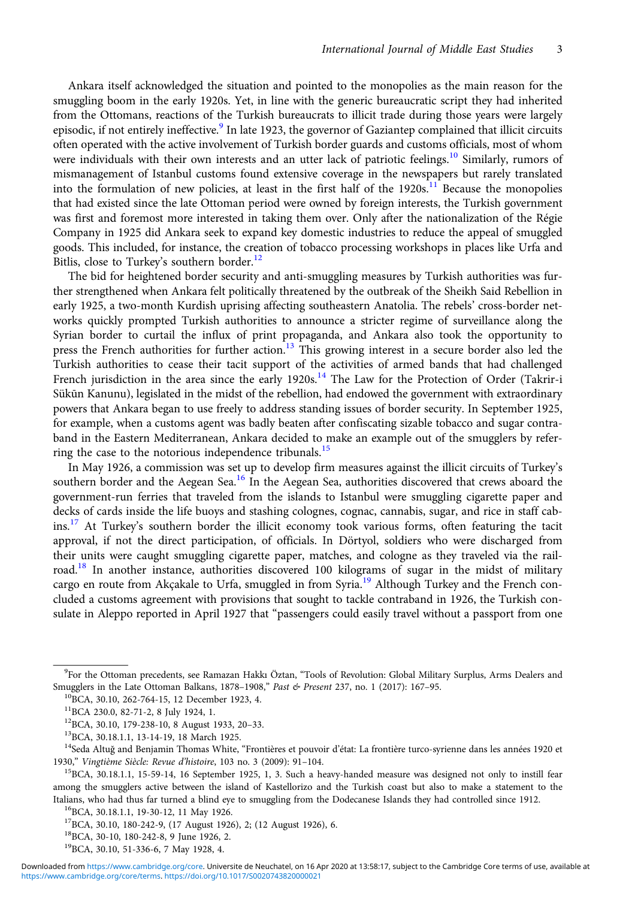Ankara itself acknowledged the situation and pointed to the monopolies as the main reason for the smuggling boom in the early 1920s. Yet, in line with the generic bureaucratic script they had inherited from the Ottomans, reactions of the Turkish bureaucrats to illicit trade during those years were largely episodic, if not entirely ineffective.<sup>9</sup> In late 1923, the governor of Gaziantep complained that illicit circuits often operated with the active involvement of Turkish border guards and customs officials, most of whom were individuals with their own interests and an utter lack of patriotic feelings.<sup>10</sup> Similarly, rumors of mismanagement of Istanbul customs found extensive coverage in the newspapers but rarely translated into the formulation of new policies, at least in the first half of the  $1920s<sup>11</sup>$  Because the monopolies that had existed since the late Ottoman period were owned by foreign interests, the Turkish government was first and foremost more interested in taking them over. Only after the nationalization of the Régie Company in 1925 did Ankara seek to expand key domestic industries to reduce the appeal of smuggled goods. This included, for instance, the creation of tobacco processing workshops in places like Urfa and Bitlis, close to Turkey's southern border.<sup>12</sup>

The bid for heightened border security and anti-smuggling measures by Turkish authorities was further strengthened when Ankara felt politically threatened by the outbreak of the Sheikh Said Rebellion in early 1925, a two-month Kurdish uprising affecting southeastern Anatolia. The rebels' cross-border networks quickly prompted Turkish authorities to announce a stricter regime of surveillance along the Syrian border to curtail the influx of print propaganda, and Ankara also took the opportunity to press the French authorities for further action.<sup>13</sup> This growing interest in a secure border also led the Turkish authorities to cease their tacit support of the activities of armed bands that had challenged French jurisdiction in the area since the early 1920s.<sup>14</sup> The Law for the Protection of Order (Takrir-i Sükūn Kanunu), legislated in the midst of the rebellion, had endowed the government with extraordinary powers that Ankara began to use freely to address standing issues of border security. In September 1925, for example, when a customs agent was badly beaten after confiscating sizable tobacco and sugar contraband in the Eastern Mediterranean, Ankara decided to make an example out of the smugglers by referring the case to the notorious independence tribunals.<sup>15</sup>

In May 1926, a commission was set up to develop firm measures against the illicit circuits of Turkey's southern border and the Aegean Sea.<sup>16</sup> In the Aegean Sea, authorities discovered that crews aboard the government-run ferries that traveled from the islands to Istanbul were smuggling cigarette paper and decks of cards inside the life buoys and stashing colognes, cognac, cannabis, sugar, and rice in staff cabins.<sup>17</sup> At Turkey's southern border the illicit economy took various forms, often featuring the tacit approval, if not the direct participation, of officials. In Dörtyol, soldiers who were discharged from their units were caught smuggling cigarette paper, matches, and cologne as they traveled via the railroad.<sup>18</sup> In another instance, authorities discovered 100 kilograms of sugar in the midst of military cargo en route from Akçakale to Urfa, smuggled in from Syria.<sup>19</sup> Although Turkey and the French concluded a customs agreement with provisions that sought to tackle contraband in 1926, the Turkish consulate in Aleppo reported in April 1927 that "passengers could easily travel without a passport from one

<sup>9</sup> For the Ottoman precedents, see Ramazan Hakkı Öztan, "Tools of Revolution: Global Military Surplus, Arms Dealers and Smugglers in the Late Ottoman Balkans, 1878–1908," Past & Present 237, no. 1 (2017): 167–95.<br><sup>10</sup>BCA, 30.10, 262-764-15, 12 December 1923, 4.

<sup>11</sup>BCA 230.0, 82-71-2, 8 July 1924, 1.

<sup>&</sup>lt;sup>12</sup>BCA, 30.10, 179-238-10, 8 August 1933, 20-33.<br><sup>13</sup>BCA, 30.18.1.1, 13-14-19, 18 March 1925.

<sup>&</sup>lt;sup>14</sup>Seda Altuğ and Benjamin Thomas White, "Frontières et pouvoir d'état: La frontière turco-syrienne dans les années 1920 et 1930," Vingtième Siècle: Revue d'histoire, 103 no. 3 (2009): 91-104.<br><sup>15</sup>BCA, 30.18.1.1, 15-59-14, 16 September 1925, 1, 3. Such a heavy-handed measure was designed not only to instill fear

among the smugglers active between the island of Kastellorizo and the Turkish coast but also to make a statement to the Italians, who had thus far turned a blind eye to smuggling from the Dodecanese Islands they had controlled since 1912.<br><sup>16</sup>BCA, 30.18.1.1, 19-30-12, 11 May 1926.

<sup>17</sup>BCA, 30.10, 180-242-9, (17 August 1926), 2; (12 August 1926), 6.

<sup>18</sup>BCA, 30-10, 180-242-8, 9 June 1926, 2.

<sup>19</sup>BCA, 30.10, 51-336-6, 7 May 1928, 4.

[https://www.cambridge.org/core/terms.](https://www.cambridge.org/core/terms) <https://doi.org/10.1017/S0020743820000021> Downloaded from [https://www.cambridge.org/core.](https://www.cambridge.org/core) Universite de Neuchatel, on 16 Apr 2020 at 13:58:17, subject to the Cambridge Core terms of use, available at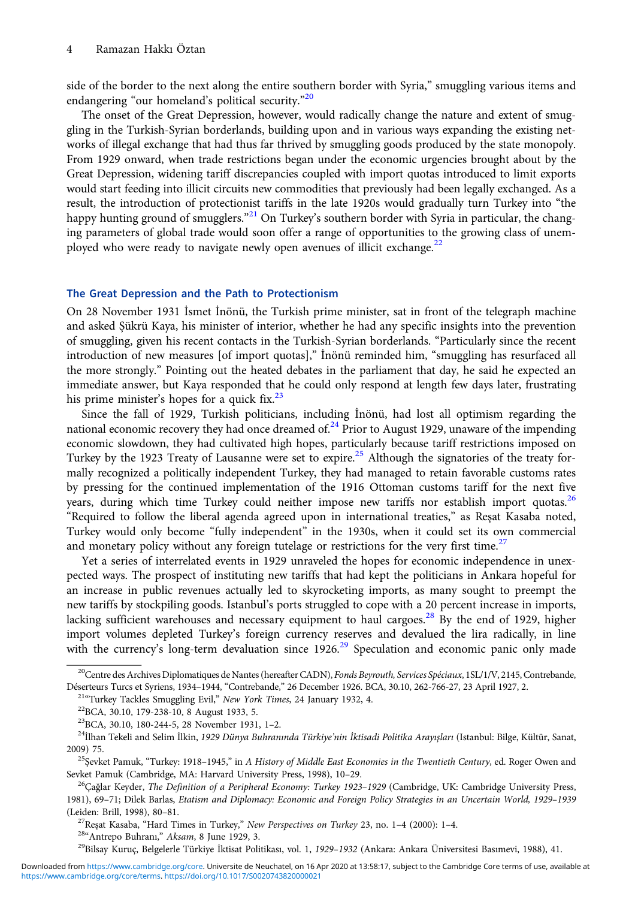side of the border to the next along the entire southern border with Syria," smuggling various items and endangering "our homeland's political security."<sup>20</sup>

The onset of the Great Depression, however, would radically change the nature and extent of smuggling in the Turkish-Syrian borderlands, building upon and in various ways expanding the existing networks of illegal exchange that had thus far thrived by smuggling goods produced by the state monopoly. From 1929 onward, when trade restrictions began under the economic urgencies brought about by the Great Depression, widening tariff discrepancies coupled with import quotas introduced to limit exports would start feeding into illicit circuits new commodities that previously had been legally exchanged. As a result, the introduction of protectionist tariffs in the late 1920s would gradually turn Turkey into "the happy hunting ground of smugglers."<sup>21</sup> On Turkey's southern border with Syria in particular, the changing parameters of global trade would soon offer a range of opportunities to the growing class of unemployed who were ready to navigate newly open avenues of illicit exchange. $^{22}$ 

### The Great Depression and the Path to Protectionism

On 28 November 1931 İsmet İnönü, the Turkish prime minister, sat in front of the telegraph machine and asked Şükrü Kaya, his minister of interior, whether he had any specific insights into the prevention of smuggling, given his recent contacts in the Turkish-Syrian borderlands. "Particularly since the recent introduction of new measures [of import quotas]," İnönü reminded him, "smuggling has resurfaced all the more strongly." Pointing out the heated debates in the parliament that day, he said he expected an immediate answer, but Kaya responded that he could only respond at length few days later, frustrating his prime minister's hopes for a quick  $fix.^{23}$ 

Since the fall of 1929, Turkish politicians, including İnönü, had lost all optimism regarding the national economic recovery they had once dreamed of.<sup>24</sup> Prior to August 1929, unaware of the impending economic slowdown, they had cultivated high hopes, particularly because tariff restrictions imposed on Turkey by the 1923 Treaty of Lausanne were set to expire.<sup>25</sup> Although the signatories of the treaty formally recognized a politically independent Turkey, they had managed to retain favorable customs rates by pressing for the continued implementation of the 1916 Ottoman customs tariff for the next five years, during which time Turkey could neither impose new tariffs nor establish import quotas.<sup>26</sup> "Required to follow the liberal agenda agreed upon in international treaties," as Reşat Kasaba noted, Turkey would only become "fully independent" in the 1930s, when it could set its own commercial and monetary policy without any foreign tutelage or restrictions for the very first time.<sup>27</sup>

Yet a series of interrelated events in 1929 unraveled the hopes for economic independence in unexpected ways. The prospect of instituting new tariffs that had kept the politicians in Ankara hopeful for an increase in public revenues actually led to skyrocketing imports, as many sought to preempt the new tariffs by stockpiling goods. Istanbul's ports struggled to cope with a 20 percent increase in imports, lacking sufficient warehouses and necessary equipment to haul cargoes.<sup>28</sup> By the end of 1929, higher import volumes depleted Turkey's foreign currency reserves and devalued the lira radically, in line with the currency's long-term devaluation since  $1926<sup>29</sup>$  Speculation and economic panic only made

<sup>&</sup>lt;sup>20</sup>Centre des Archives Diplomatiques de Nantes (hereafter CADN), Fonds Beyrouth, Services Spéciaux, 1SL/1/V, 2145, Contrebande, Déserteurs Turcs et Syriens, 1934–1944, "Contrebande," 26 December 1926. BCA, 30.10, 262-766-27, 23 April 1927, 2.<br><sup>21</sup>"Turkey Tackles Smuggling Evil," *New York Times*, 24 January 1932, 4.<br><sup>22</sup>BCA, 30.10, 179-238-10, 8 Au

<sup>&</sup>lt;sup>24</sup>İlhan Tekeli and Selim İlkin, 1929 Dünya Buhranında Türkiye'nin İktisadi Politika Arayışları (Istanbul: Bilge, Kültür, Sanat,

<sup>2009) 75.&</sup>lt;br><sup>25</sup>Şevket Pamuk, "Turkey: 1918–1945," in *A History of Middle East Economies in the Twentieth Century*, ed. Roger Owen and Sevket Pamuk (Cambridge, MA: Harvard University Press, 1998), 10–29.<br><sup>26</sup>Çağlar Keyder, *The Definition of a Peripheral Economy: Turkey 1923–1929* (Cambridge, UK: Cambridge University Press,

<sup>1981), 69</sup>–71; Dilek Barlas, Etatism and Diplomacy: Economic and Foreign Policy Strategies in an Uncertain World, 1929–1939 (Leiden: Brill, 1998), 80–81.<br><sup>27</sup>Reşat Kasaba, "Hard Times in Turkey," *New Perspectives on Turkey* 23, no. 1–4 (2000): 1–4.<br><sup>28</sup>"Antrepo Buhranı," *Aksam*, 8 June 1929, 3.<br><sup>29</sup>Bilsay Kuruç, Belgelerle Türkiye İktisat Pol

[https://www.cambridge.org/core/terms.](https://www.cambridge.org/core/terms) <https://doi.org/10.1017/S0020743820000021> Downloaded from [https://www.cambridge.org/core.](https://www.cambridge.org/core) Universite de Neuchatel, on 16 Apr 2020 at 13:58:17, subject to the Cambridge Core terms of use, available at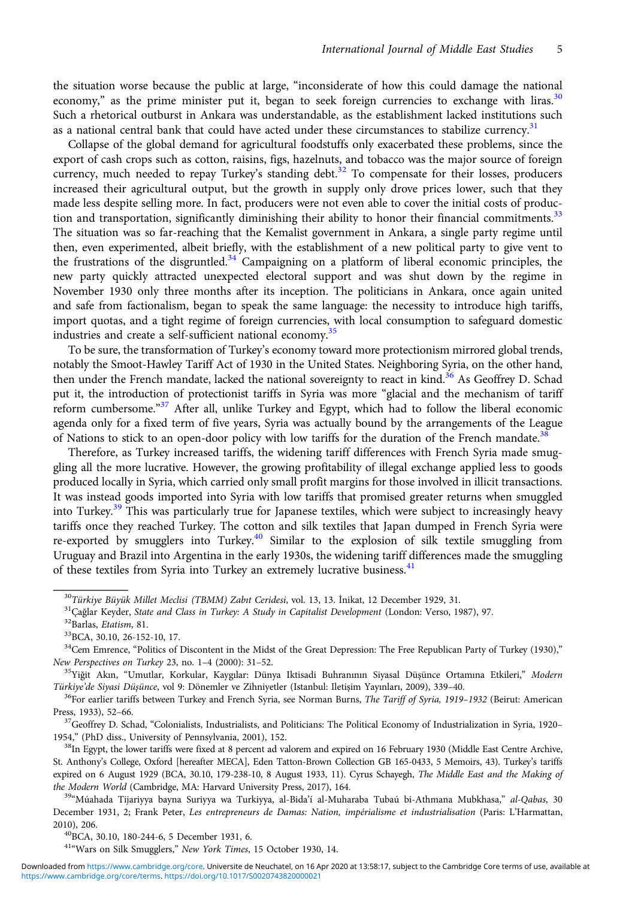the situation worse because the public at large, "inconsiderate of how this could damage the national economy," as the prime minister put it, began to seek foreign currencies to exchange with liras.<sup>30</sup> Such a rhetorical outburst in Ankara was understandable, as the establishment lacked institutions such as a national central bank that could have acted under these circumstances to stabilize currency.<sup>31</sup>

Collapse of the global demand for agricultural foodstuffs only exacerbated these problems, since the export of cash crops such as cotton, raisins, figs, hazelnuts, and tobacco was the major source of foreign currency, much needed to repay Turkey's standing debt.<sup>32</sup> To compensate for their losses, producers increased their agricultural output, but the growth in supply only drove prices lower, such that they made less despite selling more. In fact, producers were not even able to cover the initial costs of production and transportation, significantly diminishing their ability to honor their financial commitments.<sup>33</sup> The situation was so far-reaching that the Kemalist government in Ankara, a single party regime until then, even experimented, albeit briefly, with the establishment of a new political party to give vent to the frustrations of the disgruntled. $34$  Campaigning on a platform of liberal economic principles, the new party quickly attracted unexpected electoral support and was shut down by the regime in November 1930 only three months after its inception. The politicians in Ankara, once again united and safe from factionalism, began to speak the same language: the necessity to introduce high tariffs, import quotas, and a tight regime of foreign currencies, with local consumption to safeguard domestic industries and create a self-sufficient national economy.<sup>35</sup>

To be sure, the transformation of Turkey's economy toward more protectionism mirrored global trends, notably the Smoot-Hawley Tariff Act of 1930 in the United States. Neighboring Syria, on the other hand, then under the French mandate, lacked the national sovereignty to react in kind.<sup>36</sup> As Geoffrey D. Schad put it, the introduction of protectionist tariffs in Syria was more "glacial and the mechanism of tariff reform cumbersome."<sup>37</sup> After all, unlike Turkey and Egypt, which had to follow the liberal economic agenda only for a fixed term of five years, Syria was actually bound by the arrangements of the League of Nations to stick to an open-door policy with low tariffs for the duration of the French mandate.<sup>38</sup>

Therefore, as Turkey increased tariffs, the widening tariff differences with French Syria made smuggling all the more lucrative. However, the growing profitability of illegal exchange applied less to goods produced locally in Syria, which carried only small profit margins for those involved in illicit transactions. It was instead goods imported into Syria with low tariffs that promised greater returns when smuggled into Turkey.<sup>39</sup> This was particularly true for Japanese textiles, which were subject to increasingly heavy tariffs once they reached Turkey. The cotton and silk textiles that Japan dumped in French Syria were re-exported by smugglers into Turkey.<sup>40</sup> Similar to the explosion of silk textile smuggling from Uruguay and Brazil into Argentina in the early 1930s, the widening tariff differences made the smuggling of these textiles from Syria into Turkey an extremely lucrative business.<sup>41</sup>

<sup>&</sup>lt;sup>30</sup>Türkiye Büyük Millet Meclisi (TBMM) Zabıt Ceridesi, vol. 13, 13. İnikat, 12 December 1929, 31.<br><sup>31</sup>Çağlar Keyder, *State and Class in Turkey: A Study in Capitalist Development* (London: Verso, 1987), 97.<br><sup>32</sup>Barlas, *E* 

<sup>&</sup>lt;sup>34</sup>Cem Emrence, "Politics of Discontent in the Midst of the Great Depression: The Free Republican Party of Turkey (1930)," New Perspectives on Turkey 23, no. 1–4 (2000): 31–52.<br><sup>35</sup>Yiğit Akın, "Umutlar, Korkular, Kaygılar: Dünya Iktisadi Buhranının Siyasal Düşünce Ortamına Etkileri," *Modern* 

Türkiye'de Siyasi Düşünce, vol 9: Dönemler ve Zihniyetler (Istanbul: Iletişim Yayınları, 2009), 339-40.<br><sup>36</sup>For earlier tariffs between Turkey and French Syria, see Norman Burns, The Tariff of Syria, 1919-1932 (Beirut: Ame

Press, 1933), 52–66. 37Geoffrey D. Schad, "Colonialists, Industrialists, and Politicians: The Political Economy of Industrialization in Syria, 1920–

<sup>1954,&</sup>quot; (PhD diss., University of Pennsylvania, 2001), 152.<br><sup>38</sup>In Egypt, the lower tariffs were fixed at 8 percent ad valorem and expired on 16 February 1930 (Middle East Centre Archive,

St. Anthony's College, Oxford [hereafter MECA], Eden Tatton-Brown Collection GB 165-0433, 5 Memoirs, 43). Turkey's tariffs expired on 6 August 1929 (BCA, 30.10, 179-238-10, 8 August 1933, 11). Cyrus Schayegh, The Middle East and the Making of the Modern World (Cambridge, MA: Harvard University Press, 2017), 164.<br><sup>39</sup>"Múahada Tijariyya bayna Suriyya wa Turkiyya, al-Bida'í al-Muharaba Tubaú bi-Athmana Mubkhasa," *al-Qabas*, 30

December 1931, 2; Frank Peter, Les entrepreneurs de Damas: Nation, impérialisme et industrialisation (Paris: L'Harmattan, 2010), 206.<br><sup>40</sup>BCA, 30.10, 180-244-6, 5 December 1931, 6.

<sup>41</sup>"Wars on Silk Smugglers," New York Times, 15 October 1930, 14.

[https://www.cambridge.org/core/terms.](https://www.cambridge.org/core/terms) <https://doi.org/10.1017/S0020743820000021> Downloaded from [https://www.cambridge.org/core.](https://www.cambridge.org/core) Universite de Neuchatel, on 16 Apr 2020 at 13:58:17, subject to the Cambridge Core terms of use, available at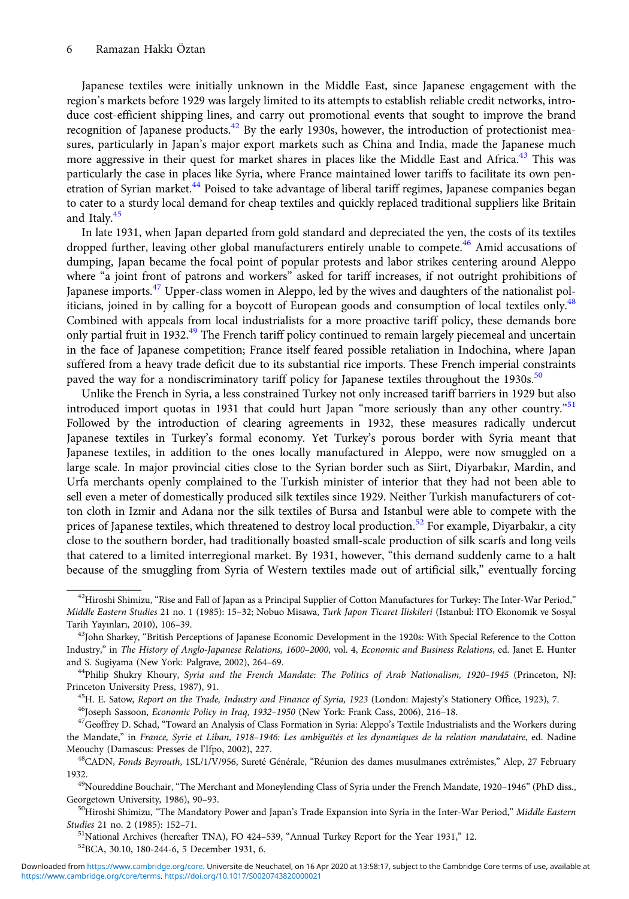#### 6 Ramazan Hakkı Öztan

Japanese textiles were initially unknown in the Middle East, since Japanese engagement with the region's markets before 1929 was largely limited to its attempts to establish reliable credit networks, introduce cost-efficient shipping lines, and carry out promotional events that sought to improve the brand recognition of Japanese products. $42$  By the early 1930s, however, the introduction of protectionist measures, particularly in Japan's major export markets such as China and India, made the Japanese much more aggressive in their quest for market shares in places like the Middle East and Africa.<sup>43</sup> This was particularly the case in places like Syria, where France maintained lower tariffs to facilitate its own penetration of Syrian market.<sup>44</sup> Poised to take advantage of liberal tariff regimes, Japanese companies began to cater to a sturdy local demand for cheap textiles and quickly replaced traditional suppliers like Britain and Italy.<sup>45</sup>

In late 1931, when Japan departed from gold standard and depreciated the yen, the costs of its textiles dropped further, leaving other global manufacturers entirely unable to compete.<sup>46</sup> Amid accusations of dumping, Japan became the focal point of popular protests and labor strikes centering around Aleppo where "a joint front of patrons and workers" asked for tariff increases, if not outright prohibitions of Japanese imports.<sup>47</sup> Upper-class women in Aleppo, led by the wives and daughters of the nationalist politicians, joined in by calling for a boycott of European goods and consumption of local textiles only.<sup>48</sup> Combined with appeals from local industrialists for a more proactive tariff policy, these demands bore only partial fruit in 1932.<sup>49</sup> The French tariff policy continued to remain largely piecemeal and uncertain in the face of Japanese competition; France itself feared possible retaliation in Indochina, where Japan suffered from a heavy trade deficit due to its substantial rice imports. These French imperial constraints paved the way for a nondiscriminatory tariff policy for Japanese textiles throughout the 1930s.<sup>50</sup>

Unlike the French in Syria, a less constrained Turkey not only increased tariff barriers in 1929 but also introduced import quotas in 1931 that could hurt Japan "more seriously than any other country."<sup>51</sup> Followed by the introduction of clearing agreements in 1932, these measures radically undercut Japanese textiles in Turkey's formal economy. Yet Turkey's porous border with Syria meant that Japanese textiles, in addition to the ones locally manufactured in Aleppo, were now smuggled on a large scale. In major provincial cities close to the Syrian border such as Siirt, Diyarbakır, Mardin, and Urfa merchants openly complained to the Turkish minister of interior that they had not been able to sell even a meter of domestically produced silk textiles since 1929. Neither Turkish manufacturers of cotton cloth in Izmir and Adana nor the silk textiles of Bursa and Istanbul were able to compete with the prices of Japanese textiles, which threatened to destroy local production.<sup>52</sup> For example, Diyarbakır, a city close to the southern border, had traditionally boasted small-scale production of silk scarfs and long veils that catered to a limited interregional market. By 1931, however, "this demand suddenly came to a halt because of the smuggling from Syria of Western textiles made out of artificial silk," eventually forcing

the Mandate," in France, Syrie et Liban, 1918-1946: Les ambiguïtés et les dynamiques de la relation mandataire, ed. Nadine Meouchy (Damascus: Presses de l'Ifpo, 2002), 227.<br><sup>48</sup>CADN, *Fonds Beyrouth*, 1SL/1/V/956, Sureté Générale, "Réunion des dames musulmanes extrémistes," Alep, 27 February

 $^{42}$ Hiroshi Shimizu, "Rise and Fall of Japan as a Principal Supplier of Cotton Manufactures for Turkey: The Inter-War Period," Middle Eastern Studies 21 no. 1 (1985): 15–32; Nobuo Misawa, Turk Japon Ticaret Iliskileri (Istanbul: ITO Ekonomik ve Sosyal Tarih Yayınları, 2010), 106–39.<br><sup>43</sup>John Sharkey, "British Perceptions of Japanese Economic Development in the 1920s: With Special Reference to the Cotton

Industry," in The History of Anglo-Japanese Relations, 1600–2000, vol. 4, Economic and Business Relations, ed. Janet E. Hunter and S. Sugiyama (New York: Palgrave, 2002), 264–69.<br><sup>44</sup>Philip Shukry Khoury, Syria and the French Mandate: The Politics of Arab Nationalism, 1920–1945 (Princeton, NJ:

Princeton University Press, 1987), 91.<br><sup>45</sup>H. E. Satow, *Report on the Trade, Industry and Finance of Syria, 1923* (London: Majesty's Stationery Office, 1923), 7.<br><sup>46</sup>Joseph Sassoon, *Economic Policy in Iraq, 1932–1950* (N

<sup>1932.</sup> 49Noureddine Bouchair, "The Merchant and Moneylending Class of Syria under the French Mandate, 1920–1946" (PhD diss.,

Georgetown University, 1986), 90–93.<br><sup>50</sup>Hiroshi Shimizu, "The Mandatory Power and Japan's Trade Expansion into Syria in the Inter-War Period," *Middle Eastern* 

Studies 21 no. 2 (1985): 152–71.<br><sup>51</sup>National Archives (hereafter TNA), FO 424–539, "Annual Turkey Report for the Year 1931," 12.<br><sup>52</sup>BCA, 30.10, 180-244-6, 5 December 1931, 6.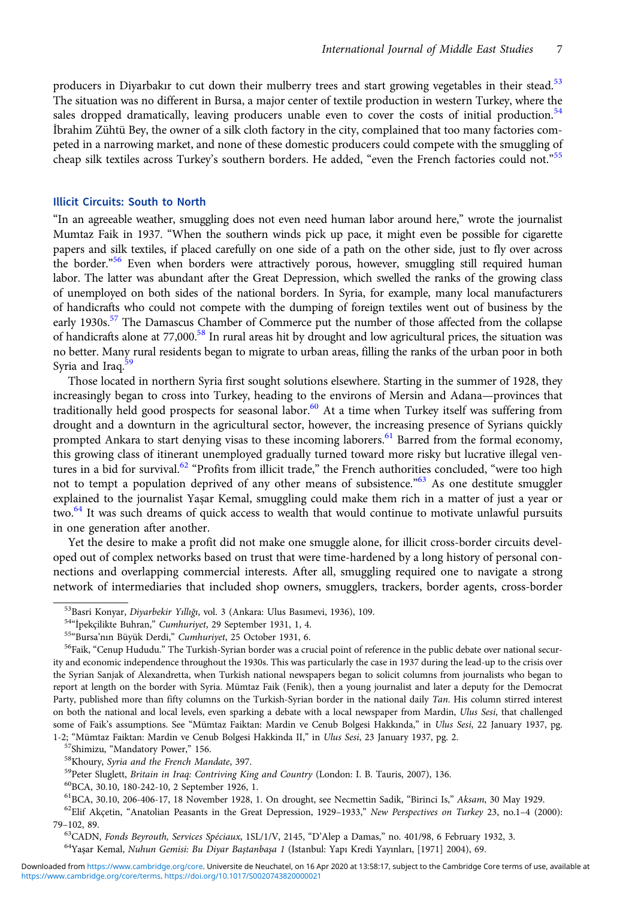producers in Diyarbakır to cut down their mulberry trees and start growing vegetables in their stead.<sup>53</sup> The situation was no different in Bursa, a major center of textile production in western Turkey, where the sales dropped dramatically, leaving producers unable even to cover the costs of initial production.<sup>54</sup> İbrahim Zühtü Bey, the owner of a silk cloth factory in the city, complained that too many factories competed in a narrowing market, and none of these domestic producers could compete with the smuggling of cheap silk textiles across Turkey's southern borders. He added, "even the French factories could not."<sup>55</sup>

#### Illicit Circuits: South to North

"In an agreeable weather, smuggling does not even need human labor around here," wrote the journalist Mumtaz Faik in 1937. "When the southern winds pick up pace, it might even be possible for cigarette papers and silk textiles, if placed carefully on one side of a path on the other side, just to fly over across the border."<sup>56</sup> Even when borders were attractively porous, however, smuggling still required human labor. The latter was abundant after the Great Depression, which swelled the ranks of the growing class of unemployed on both sides of the national borders. In Syria, for example, many local manufacturers of handicrafts who could not compete with the dumping of foreign textiles went out of business by the early 1930s.<sup>57</sup> The Damascus Chamber of Commerce put the number of those affected from the collapse of handicrafts alone at 77,000.<sup>58</sup> In rural areas hit by drought and low agricultural prices, the situation was no better. Many rural residents began to migrate to urban areas, filling the ranks of the urban poor in both Syria and Iraq.<sup>59</sup>

Those located in northern Syria first sought solutions elsewhere. Starting in the summer of 1928, they increasingly began to cross into Turkey, heading to the environs of Mersin and Adana—provinces that traditionally held good prospects for seasonal labor.<sup>60</sup> At a time when Turkey itself was suffering from drought and a downturn in the agricultural sector, however, the increasing presence of Syrians quickly prompted Ankara to start denying visas to these incoming laborers.<sup>61</sup> Barred from the formal economy, this growing class of itinerant unemployed gradually turned toward more risky but lucrative illegal ventures in a bid for survival.<sup>62</sup> "Profits from illicit trade," the French authorities concluded, "were too high not to tempt a population deprived of any other means of subsistence."<sup>63</sup> As one destitute smuggler explained to the journalist Yaşar Kemal, smuggling could make them rich in a matter of just a year or two.<sup>64</sup> It was such dreams of quick access to wealth that would continue to motivate unlawful pursuits in one generation after another.

Yet the desire to make a profit did not make one smuggle alone, for illicit cross-border circuits developed out of complex networks based on trust that were time-hardened by a long history of personal connections and overlapping commercial interests. After all, smuggling required one to navigate a strong network of intermediaries that included shop owners, smugglers, trackers, border agents, cross-border

1-2; "Mümtaz Faiktan: Mardin ve Cenub Bolgesi Hakkinda II," in *Ulus Sesi*, 23 January 1937, pg. 2.<br><sup>57</sup>Shimizu, "Mandatory Power," 156.<br><sup>58</sup>Khoury, *Syria and the French Mandate*, 397.<br><sup>59</sup>Peter Sluglett, *Britain in Ira* 

<sup>62</sup>Elif Akçetin, "Anatolian Peasants in the Great Depression, 1929-1933," New Perspectives on Turkey 23, no.1-4 (2000): 79–102, 89.

<sup>63</sup>CADN, Fonds Beyrouth, Services Spéciaux, 1SL/1/V, 2145, "D'Alep a Damas," no. 401/98, 6 February 1932, 3. 64Yaşar Kemal, Nuhun Gemisi: Bu Diyar Baştanbaşa 1 (Istanbul: Yapı Kredi Yayınları, [1971] 2004), 69.

<sup>&</sup>lt;sup>53</sup>Basri Konyar, *Diyarbekir Yıllığı*, vol. 3 (Ankara: Ulus Basımevi, 1936), 109.<br><sup>54«</sup>İpekçilikte Buhran," *Cumhuriyet*, 29 September 1931, 1, 4.<br><sup>55«</sup>Bursa'nın Büyük Derdi," *Cumhuriyet*, 25 October 1931, 6.<br><sup>56</sup>Faik, " ity and economic independence throughout the 1930s. This was particularly the case in 1937 during the lead-up to the crisis over the Syrian Sanjak of Alexandretta, when Turkish national newspapers began to solicit columns from journalists who began to report at length on the border with Syria. Mümtaz Faik (Fenik), then a young journalist and later a deputy for the Democrat Party, published more than fifty columns on the Turkish-Syrian border in the national daily Tan. His column stirred interest on both the national and local levels, even sparking a debate with a local newspaper from Mardin, Ulus Sesi, that challenged some of Faik's assumptions. See "Mümtaz Faiktan: Mardin ve Cenub Bolgesi Hakkında," in Ulus Sesi, 22 January 1937, pg.

[https://www.cambridge.org/core/terms.](https://www.cambridge.org/core/terms) <https://doi.org/10.1017/S0020743820000021> Downloaded from [https://www.cambridge.org/core.](https://www.cambridge.org/core) Universite de Neuchatel, on 16 Apr 2020 at 13:58:17, subject to the Cambridge Core terms of use, available at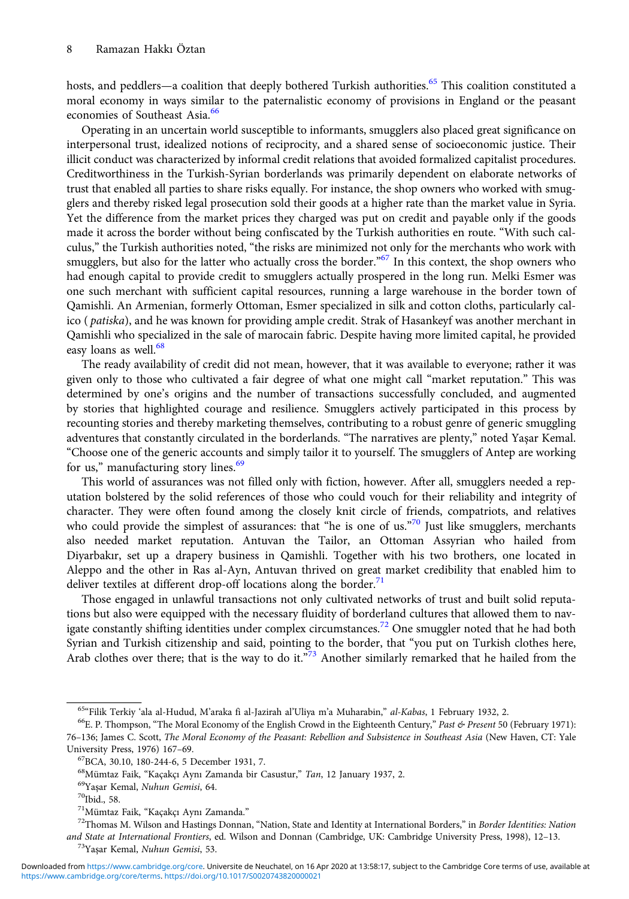hosts, and peddlers—a coalition that deeply bothered Turkish authorities.<sup>65</sup> This coalition constituted a moral economy in ways similar to the paternalistic economy of provisions in England or the peasant economies of Southeast Asia.<sup>66</sup>

Operating in an uncertain world susceptible to informants, smugglers also placed great significance on interpersonal trust, idealized notions of reciprocity, and a shared sense of socioeconomic justice. Their illicit conduct was characterized by informal credit relations that avoided formalized capitalist procedures. Creditworthiness in the Turkish-Syrian borderlands was primarily dependent on elaborate networks of trust that enabled all parties to share risks equally. For instance, the shop owners who worked with smugglers and thereby risked legal prosecution sold their goods at a higher rate than the market value in Syria. Yet the difference from the market prices they charged was put on credit and payable only if the goods made it across the border without being confiscated by the Turkish authorities en route. "With such calculus," the Turkish authorities noted, "the risks are minimized not only for the merchants who work with smugglers, but also for the latter who actually cross the border."<sup>67</sup> In this context, the shop owners who had enough capital to provide credit to smugglers actually prospered in the long run. Melki Esmer was one such merchant with sufficient capital resources, running a large warehouse in the border town of Qamishli. An Armenian, formerly Ottoman, Esmer specialized in silk and cotton cloths, particularly calico ( patiska), and he was known for providing ample credit. Strak of Hasankeyf was another merchant in Qamishli who specialized in the sale of marocain fabric. Despite having more limited capital, he provided easy loans as well.<sup>68</sup>

The ready availability of credit did not mean, however, that it was available to everyone; rather it was given only to those who cultivated a fair degree of what one might call "market reputation." This was determined by one's origins and the number of transactions successfully concluded, and augmented by stories that highlighted courage and resilience. Smugglers actively participated in this process by recounting stories and thereby marketing themselves, contributing to a robust genre of generic smuggling adventures that constantly circulated in the borderlands. "The narratives are plenty," noted Yaşar Kemal. "Choose one of the generic accounts and simply tailor it to yourself. The smugglers of Antep are working for us," manufacturing story lines.<sup>69</sup>

This world of assurances was not filled only with fiction, however. After all, smugglers needed a reputation bolstered by the solid references of those who could vouch for their reliability and integrity of character. They were often found among the closely knit circle of friends, compatriots, and relatives who could provide the simplest of assurances: that "he is one of us."<sup>70</sup> Just like smugglers, merchants also needed market reputation. Antuvan the Tailor, an Ottoman Assyrian who hailed from Diyarbakır, set up a drapery business in Qamishli. Together with his two brothers, one located in Aleppo and the other in Ras al-Ayn, Antuvan thrived on great market credibility that enabled him to deliver textiles at different drop-off locations along the border.<sup>71</sup>

Those engaged in unlawful transactions not only cultivated networks of trust and built solid reputations but also were equipped with the necessary fluidity of borderland cultures that allowed them to navigate constantly shifting identities under complex circumstances.<sup>72</sup> One smuggler noted that he had both Syrian and Turkish citizenship and said, pointing to the border, that "you put on Turkish clothes here, Arab clothes over there; that is the way to do it."<sup>73</sup> Another similarly remarked that he hailed from the

<sup>72</sup>Thomas M. Wilson and Hastings Donnan, "Nation, State and Identity at International Borders," in Border Identities: Nation and State at International Frontiers, ed. Wilson and Donnan (Cambridge, UK: Cambridge University Press, 1998), 12–13. 73Yaşar Kemal, Nuhun Gemisi, 53.

<sup>&</sup>lt;sup>65«</sup>Filik Terkiy ʿala al-Hudud, M'araka fi al-Jazirah al'Uliya m'a Muharabin," *al-Kabas*, 1 February 1932, 2.<br><sup>66</sup>E. P. Thompson, "The Moral Economy of the English Crowd in the Eighteenth Century," *Past & Present* 50 (F 76–136; James C. Scott, *The Moral Economy of the Peasant: Rebellion and Subsistence in Southeast Asia* (New Haven, CT: Yale University Press, 1976) 167–69.

<sup>&</sup>lt;sup>67</sup>BCA, 30.10, 180-244-6, 5 December 1931, 7.

<sup>&</sup>lt;sup>68</sup>Mümtaz Faik, "Kaçakçı Aynı Zamanda bir Casustur," *Tan*, 12 January 1937, 2.<br><sup>69</sup>Yaşar Kemal, *Nuhun Gemisi*, 64.<br><sup>70</sup>Ibid., 58.<br><sup>71</sup>Mümtaz Faik, "Kaçakçı Aynı Zamanda."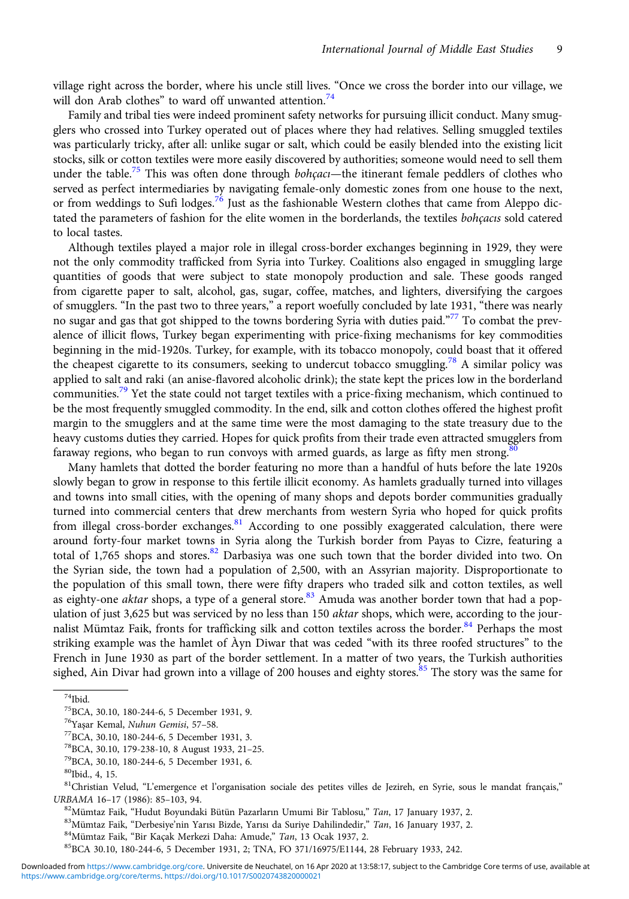village right across the border, where his uncle still lives. "Once we cross the border into our village, we will don Arab clothes" to ward off unwanted attention.<sup>74</sup>

Family and tribal ties were indeed prominent safety networks for pursuing illicit conduct. Many smugglers who crossed into Turkey operated out of places where they had relatives. Selling smuggled textiles was particularly tricky, after all: unlike sugar or salt, which could be easily blended into the existing licit stocks, silk or cotton textiles were more easily discovered by authorities; someone would need to sell them under the table.<sup>75</sup> This was often done through *bohçact*—the itinerant female peddlers of clothes who served as perfect intermediaries by navigating female-only domestic zones from one house to the next, or from weddings to Sufi lodges.<sup>76</sup> Just as the fashionable Western clothes that came from Aleppo dictated the parameters of fashion for the elite women in the borderlands, the textiles bohçacıs sold catered to local tastes.

Although textiles played a major role in illegal cross-border exchanges beginning in 1929, they were not the only commodity trafficked from Syria into Turkey. Coalitions also engaged in smuggling large quantities of goods that were subject to state monopoly production and sale. These goods ranged from cigarette paper to salt, alcohol, gas, sugar, coffee, matches, and lighters, diversifying the cargoes of smugglers. "In the past two to three years," a report woefully concluded by late 1931, "there was nearly no sugar and gas that got shipped to the towns bordering Syria with duties paid."<sup>77</sup> To combat the prevalence of illicit flows, Turkey began experimenting with price-fixing mechanisms for key commodities beginning in the mid-1920s. Turkey, for example, with its tobacco monopoly, could boast that it offered the cheapest cigarette to its consumers, seeking to undercut tobacco smuggling.<sup>78</sup> A similar policy was applied to salt and raki (an anise-flavored alcoholic drink); the state kept the prices low in the borderland communities.79 Yet the state could not target textiles with a price-fixing mechanism, which continued to be the most frequently smuggled commodity. In the end, silk and cotton clothes offered the highest profit margin to the smugglers and at the same time were the most damaging to the state treasury due to the heavy customs duties they carried. Hopes for quick profits from their trade even attracted smugglers from faraway regions, who began to run convoys with armed guards, as large as fifty men strong.<sup>8</sup>

Many hamlets that dotted the border featuring no more than a handful of huts before the late 1920s slowly began to grow in response to this fertile illicit economy. As hamlets gradually turned into villages and towns into small cities, with the opening of many shops and depots border communities gradually turned into commercial centers that drew merchants from western Syria who hoped for quick profits from illegal cross-border exchanges.<sup>81</sup> According to one possibly exaggerated calculation, there were around forty-four market towns in Syria along the Turkish border from Payas to Cizre, featuring a total of 1,765 shops and stores.<sup>82</sup> Darbasiya was one such town that the border divided into two. On the Syrian side, the town had a population of 2,500, with an Assyrian majority. Disproportionate to the population of this small town, there were fifty drapers who traded silk and cotton textiles, as well as eighty-one aktar shops, a type of a general store.<sup>83</sup> Amuda was another border town that had a population of just 3,625 but was serviced by no less than 150 *aktar* shops, which were, according to the journalist Mümtaz Faik, fronts for trafficking silk and cotton textiles across the border.<sup>84</sup> Perhaps the most striking example was the hamlet of Àyn Diwar that was ceded "with its three roofed structures" to the French in June 1930 as part of the border settlement. In a matter of two years, the Turkish authorities sighed, Ain Divar had grown into a village of 200 houses and eighty stores.<sup>85</sup> The story was the same for

<sup>74</sup>Ibid.

<sup>&</sup>lt;sup>75</sup>BCA, 30.10, 180-244-6, 5 December 1931, 9.<br><sup>76</sup>Yaşar Kemal, *Nuhun Gemisi*, 57–58.

<sup>&</sup>lt;sup>77</sup>BCA, 30.10, 180-244-6, 5 December 1931, 3.<br><sup>78</sup>BCA, 30.10, 179-238-10, 8 August 1933, 21–25.

<sup>&</sup>lt;sup>79</sup>BCA, 30.10, 180-244-6, 5 December 1931, 6.

<sup>80</sup>Ibid., 4, 15.

<sup>&</sup>lt;sup>81</sup>Christian Velud, "L'emergence et l'organisation sociale des petites villes de Jezireh, en Syrie, sous le mandat français," URBAMA 16–17 (1986): 85–103, 94.<br><sup>82</sup>Mümtaz Faik, "Hudut Boyundaki Bütün Pazarların Umumi Bir Tablosu," *Tan*, 17 January 1937, 2.<br><sup>83</sup>Mümtaz Faik, "Derbesiye'nin Yarısı Bizde, Yarısı da Suriye Dahilindedir," *Tan*, 16 Jan

[https://www.cambridge.org/core/terms.](https://www.cambridge.org/core/terms) <https://doi.org/10.1017/S0020743820000021> Downloaded from [https://www.cambridge.org/core.](https://www.cambridge.org/core) Universite de Neuchatel, on 16 Apr 2020 at 13:58:17, subject to the Cambridge Core terms of use, available at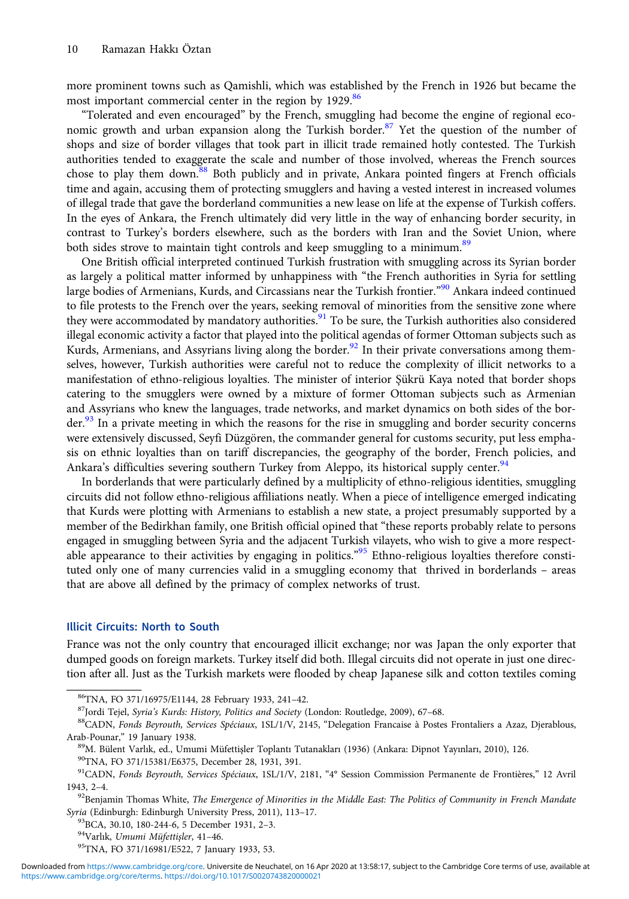more prominent towns such as Qamishli, which was established by the French in 1926 but became the most important commercial center in the region by 1929.<sup>86</sup>

"Tolerated and even encouraged" by the French, smuggling had become the engine of regional economic growth and urban expansion along the Turkish border.<sup>87</sup> Yet the question of the number of shops and size of border villages that took part in illicit trade remained hotly contested. The Turkish authorities tended to exaggerate the scale and number of those involved, whereas the French sources chose to play them down.<sup>88</sup> Both publicly and in private, Ankara pointed fingers at French officials time and again, accusing them of protecting smugglers and having a vested interest in increased volumes of illegal trade that gave the borderland communities a new lease on life at the expense of Turkish coffers. In the eyes of Ankara, the French ultimately did very little in the way of enhancing border security, in contrast to Turkey's borders elsewhere, such as the borders with Iran and the Soviet Union, where both sides strove to maintain tight controls and keep smuggling to a minimum.<sup>89</sup>

One British official interpreted continued Turkish frustration with smuggling across its Syrian border as largely a political matter informed by unhappiness with "the French authorities in Syria for settling large bodies of Armenians, Kurds, and Circassians near the Turkish frontier.<sup>"90</sup> Ankara indeed continued to file protests to the French over the years, seeking removal of minorities from the sensitive zone where they were accommodated by mandatory authorities.<sup>91</sup> To be sure, the Turkish authorities also considered illegal economic activity a factor that played into the political agendas of former Ottoman subjects such as Kurds, Armenians, and Assyrians living along the border.<sup>92</sup> In their private conversations among themselves, however, Turkish authorities were careful not to reduce the complexity of illicit networks to a manifestation of ethno-religious loyalties. The minister of interior Şükrü Kaya noted that border shops catering to the smugglers were owned by a mixture of former Ottoman subjects such as Armenian and Assyrians who knew the languages, trade networks, and market dynamics on both sides of the border.<sup>93</sup> In a private meeting in which the reasons for the rise in smuggling and border security concerns were extensively discussed, Seyfi Düzgören, the commander general for customs security, put less emphasis on ethnic loyalties than on tariff discrepancies, the geography of the border, French policies, and Ankara's difficulties severing southern Turkey from Aleppo, its historical supply center.<sup>94</sup>

In borderlands that were particularly defined by a multiplicity of ethno-religious identities, smuggling circuits did not follow ethno-religious affiliations neatly. When a piece of intelligence emerged indicating that Kurds were plotting with Armenians to establish a new state, a project presumably supported by a member of the Bedirkhan family, one British official opined that "these reports probably relate to persons engaged in smuggling between Syria and the adjacent Turkish vilayets, who wish to give a more respectable appearance to their activities by engaging in politics."<sup>95</sup> Ethno-religious loyalties therefore constituted only one of many currencies valid in a smuggling economy that thrived in borderlands – areas that are above all defined by the primacy of complex networks of trust.

#### Illicit Circuits: North to South

France was not the only country that encouraged illicit exchange; nor was Japan the only exporter that dumped goods on foreign markets. Turkey itself did both. Illegal circuits did not operate in just one direction after all. Just as the Turkish markets were flooded by cheap Japanese silk and cotton textiles coming

<sup>&</sup>lt;sup>86</sup>TNA, FO 371/16975/E1144, 28 February 1933, 241–42.<br><sup>87</sup>Jordi Tejel, *Syria's Kurds: History, Politics and Society* (London: Routledge, 2009), 67–68.<br><sup>88</sup>CADN, *Fonds Beyrouth, Services Spéciaux,* 1SL/1/V, 2145, "Delega Arab-Pounar," 19 January 1938.<br><sup>89</sup>M. Bülent Varlık, ed., Umumi Müfettişler Toplantı Tutanakları (1936) (Ankara: Dipnot Yayınları, 2010), 126.<br><sup>90</sup>TNA, FO 371/15381/E6375, December 28, 1931, 391.

<sup>91</sup>CADN, Fonds Beyrouth, Services Spéciaux, 1SL/1/V, 2181, "4° Session Commission Permanente de Frontières," 12 Avril 1943, 2–4.<br><sup>92</sup>Benjamin Thomas White, *The Emergence of Minorities in the Middle East: The Politics of Community in French Mandate* 

Syria (Edinburgh: Edinburgh University Press, 2011), 113–17.<br><sup>93</sup>BCA, 30.10, 180-244-6, 5 December 1931, 2–3.<br><sup>94</sup>Varlık, Umumi Müfettişler, 41–46.<br><sup>95</sup>TNA, FO 371/16981/E522, 7 January 1933, 53.

[https://www.cambridge.org/core/terms.](https://www.cambridge.org/core/terms) <https://doi.org/10.1017/S0020743820000021> Downloaded from [https://www.cambridge.org/core.](https://www.cambridge.org/core) Universite de Neuchatel, on 16 Apr 2020 at 13:58:17, subject to the Cambridge Core terms of use, available at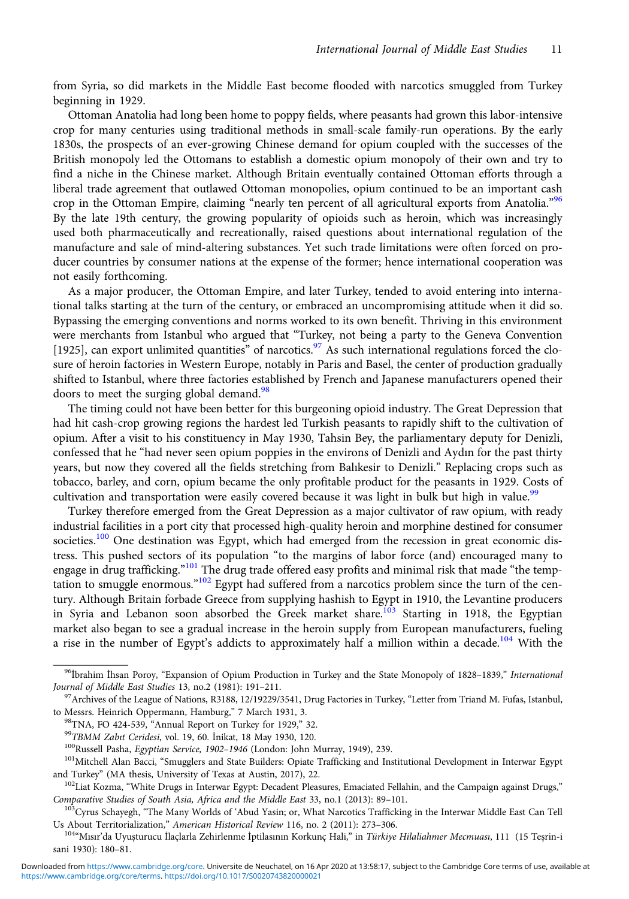from Syria, so did markets in the Middle East become flooded with narcotics smuggled from Turkey beginning in 1929.

Ottoman Anatolia had long been home to poppy fields, where peasants had grown this labor-intensive crop for many centuries using traditional methods in small-scale family-run operations. By the early 1830s, the prospects of an ever-growing Chinese demand for opium coupled with the successes of the British monopoly led the Ottomans to establish a domestic opium monopoly of their own and try to find a niche in the Chinese market. Although Britain eventually contained Ottoman efforts through a liberal trade agreement that outlawed Ottoman monopolies, opium continued to be an important cash crop in the Ottoman Empire, claiming "nearly ten percent of all agricultural exports from Anatolia."<sup>96</sup> By the late 19th century, the growing popularity of opioids such as heroin, which was increasingly used both pharmaceutically and recreationally, raised questions about international regulation of the manufacture and sale of mind-altering substances. Yet such trade limitations were often forced on producer countries by consumer nations at the expense of the former; hence international cooperation was not easily forthcoming.

As a major producer, the Ottoman Empire, and later Turkey, tended to avoid entering into international talks starting at the turn of the century, or embraced an uncompromising attitude when it did so. Bypassing the emerging conventions and norms worked to its own benefit. Thriving in this environment were merchants from Istanbul who argued that "Turkey, not being a party to the Geneva Convention [1925], can export unlimited quantities" of narcotics.  $97$  As such international regulations forced the closure of heroin factories in Western Europe, notably in Paris and Basel, the center of production gradually shifted to Istanbul, where three factories established by French and Japanese manufacturers opened their doors to meet the surging global demand.<sup>98</sup>

The timing could not have been better for this burgeoning opioid industry. The Great Depression that had hit cash-crop growing regions the hardest led Turkish peasants to rapidly shift to the cultivation of opium. After a visit to his constituency in May 1930, Tahsin Bey, the parliamentary deputy for Denizli, confessed that he "had never seen opium poppies in the environs of Denizli and Aydın for the past thirty years, but now they covered all the fields stretching from Balıkesir to Denizli." Replacing crops such as tobacco, barley, and corn, opium became the only profitable product for the peasants in 1929. Costs of cultivation and transportation were easily covered because it was light in bulk but high in value.<sup>99</sup>

Turkey therefore emerged from the Great Depression as a major cultivator of raw opium, with ready industrial facilities in a port city that processed high-quality heroin and morphine destined for consumer societies.<sup>100</sup> One destination was Egypt, which had emerged from the recession in great economic distress. This pushed sectors of its population "to the margins of labor force (and) encouraged many to engage in drug trafficking."<sup>101</sup> The drug trade offered easy profits and minimal risk that made "the temptation to smuggle enormous."<sup>102</sup> Egypt had suffered from a narcotics problem since the turn of the century. Although Britain forbade Greece from supplying hashish to Egypt in 1910, the Levantine producers in Syria and Lebanon soon absorbed the Greek market share.<sup>103</sup> Starting in 1918, the Egyptian market also began to see a gradual increase in the heroin supply from European manufacturers, fueling a rise in the number of Egypt's addicts to approximately half a million within a decade.<sup>104</sup> With the

<sup>&</sup>lt;sup>96</sup>İbrahim İhsan Poroy, "Expansion of Opium Production in Turkey and the State Monopoly of 1828–1839," International Journal of Middle East Studies 13, no.2 (1981): 191–211. <br><sup>97</sup>Archives of the League of Nations, R3188, 12/19229/3541, Drug Factories in Turkey, "Letter from Triand M. Fufas, Istanbul,

to Messrs. Heinrich Oppermann, Hamburg," 7 March 1931, 3.<br><sup>98</sup>TNA, FO 424-539, "Annual Report on Turkey for 1929," 32.<br><sup>99</sup>TBMM Zabtt Ceridesi, vol. 19, 60. İnikat, 18 May 1930, 120.<br><sup>100</sup>Russell Pasha, *Egyptian Service,* 

and Turkey" (MA thesis, University of Texas at Austin, 2017), 22. 102 Decadent Pleasures, Emaciated Fellahin, and the Campaign against Drugs," 102Liat Kozma, "White Drugs in Interwar Egypt: Decadent Pleasures, Emaciated Fe

Comparative Studies of South Asia, Africa and the Middle East 33, no.1 (2013): 89–101.<br><sup>103</sup>Cyrus Schayegh, "The Many Worlds of 'Abud Yasin; or, What Narcotics Trafficking in the Interwar Middle East Can Tell

Us About Territorialization," American Historical Review 116, no. 2 (2011): 273–306.<br><sup>104</sup>"Mısır'da Uyuşturucu İlaçlarla Zehirlenme İptilasının Korkunç Hali," in *Türkiye Hilaliahmer Mecmuası*, 111 (15 Teşrin-i

sani 1930): 180–81.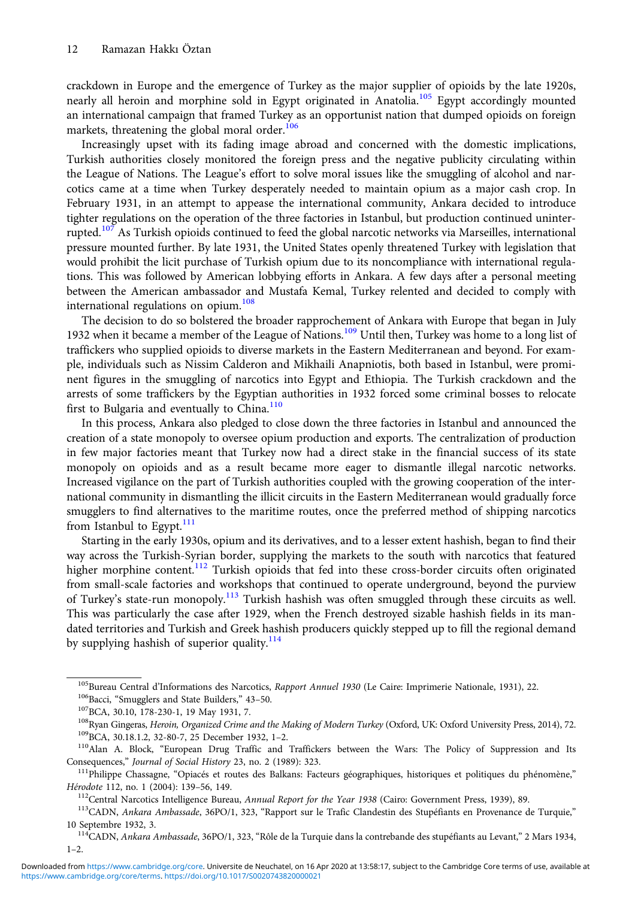crackdown in Europe and the emergence of Turkey as the major supplier of opioids by the late 1920s, nearly all heroin and morphine sold in Egypt originated in Anatolia.<sup>105</sup> Egypt accordingly mounted an international campaign that framed Turkey as an opportunist nation that dumped opioids on foreign markets, threatening the global moral order.<sup>106</sup>

Increasingly upset with its fading image abroad and concerned with the domestic implications, Turkish authorities closely monitored the foreign press and the negative publicity circulating within the League of Nations. The League's effort to solve moral issues like the smuggling of alcohol and narcotics came at a time when Turkey desperately needed to maintain opium as a major cash crop. In February 1931, in an attempt to appease the international community, Ankara decided to introduce tighter regulations on the operation of the three factories in Istanbul, but production continued uninterrupted.<sup>107</sup> As Turkish opioids continued to feed the global narcotic networks via Marseilles, international pressure mounted further. By late 1931, the United States openly threatened Turkey with legislation that would prohibit the licit purchase of Turkish opium due to its noncompliance with international regulations. This was followed by American lobbying efforts in Ankara. A few days after a personal meeting between the American ambassador and Mustafa Kemal, Turkey relented and decided to comply with international regulations on opium.<sup>108</sup>

The decision to do so bolstered the broader rapprochement of Ankara with Europe that began in July 1932 when it became a member of the League of Nations.<sup>109</sup> Until then, Turkey was home to a long list of traffickers who supplied opioids to diverse markets in the Eastern Mediterranean and beyond. For example, individuals such as Nissim Calderon and Mikhaili Anapniotis, both based in Istanbul, were prominent figures in the smuggling of narcotics into Egypt and Ethiopia. The Turkish crackdown and the arrests of some traffickers by the Egyptian authorities in 1932 forced some criminal bosses to relocate first to Bulgaria and eventually to China.<sup>110</sup>

In this process, Ankara also pledged to close down the three factories in Istanbul and announced the creation of a state monopoly to oversee opium production and exports. The centralization of production in few major factories meant that Turkey now had a direct stake in the financial success of its state monopoly on opioids and as a result became more eager to dismantle illegal narcotic networks. Increased vigilance on the part of Turkish authorities coupled with the growing cooperation of the international community in dismantling the illicit circuits in the Eastern Mediterranean would gradually force smugglers to find alternatives to the maritime routes, once the preferred method of shipping narcotics from Istanbul to Egypt.<sup>111</sup>

Starting in the early 1930s, opium and its derivatives, and to a lesser extent hashish, began to find their way across the Turkish-Syrian border, supplying the markets to the south with narcotics that featured higher morphine content.<sup>112</sup> Turkish opioids that fed into these cross-border circuits often originated from small-scale factories and workshops that continued to operate underground, beyond the purview of Turkey's state-run monopoly.<sup>113</sup> Turkish hashish was often smuggled through these circuits as well. This was particularly the case after 1929, when the French destroyed sizable hashish fields in its mandated territories and Turkish and Greek hashish producers quickly stepped up to fill the regional demand by supplying hashish of superior quality.<sup>114</sup>

 $1 - 2$ .

<sup>&</sup>lt;sup>105</sup>Bureau Central d'Informations des Narcotics, *Rapport Annuel 1930* (Le Caire: Imprimerie Nationale, 1931), 22.<br><sup>106</sup>Bacci, "Smugglers and State Builders," 43–50.<br><sup>107</sup>BCA, 30.10, 178-230-1, 19 May 1931, 7.<br><sup>107</sup>BCA, 3

Consequences," Journal of Social History 23, no. 2 (1989): 323.<br><sup>111</sup>Philippe Chassagne, "Opiacés et routes des Balkans: Facteurs géographiques, historiques et politiques du phénomène,"

Hérodote 112, no. 1 (2004): 139–56, 149.<br><sup>112</sup>Central Narcotics Intelligence Bureau, *Annual Report for the Year 1938* (Cairo: Government Press, 1939), 89.<br><sup>113</sup>CADN, *Ankara Ambassade*, 36PO/1, 323, "Rapport sur le Trafic

<sup>10</sup> Septembre 1932, 3.<br><sup>114</sup>CADN, *Ankara Ambassade*, 36PO/1, 323, "Rôle de la Turquie dans la contrebande des stupéfiants au Levant," 2 Mars 1934,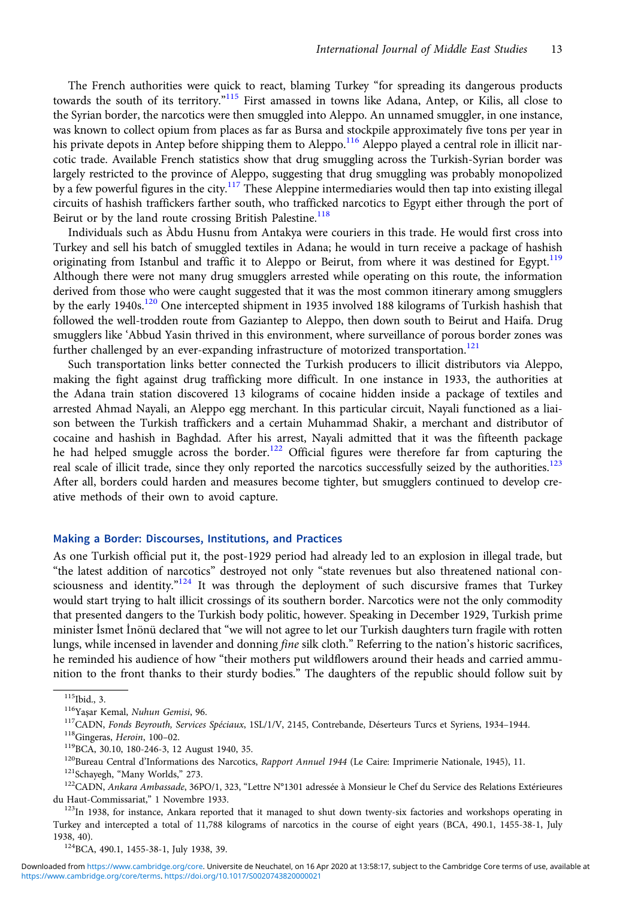The French authorities were quick to react, blaming Turkey "for spreading its dangerous products towards the south of its territory."<sup>115</sup> First amassed in towns like Adana, Antep, or Kilis, all close to the Syrian border, the narcotics were then smuggled into Aleppo. An unnamed smuggler, in one instance, was known to collect opium from places as far as Bursa and stockpile approximately five tons per year in his private depots in Antep before shipping them to Aleppo.<sup>116</sup> Aleppo played a central role in illicit narcotic trade. Available French statistics show that drug smuggling across the Turkish-Syrian border was largely restricted to the province of Aleppo, suggesting that drug smuggling was probably monopolized by a few powerful figures in the city.<sup>117</sup> These Aleppine intermediaries would then tap into existing illegal circuits of hashish traffickers farther south, who trafficked narcotics to Egypt either through the port of Beirut or by the land route crossing British Palestine.<sup>118</sup>

Individuals such as Àbdu Husnu from Antakya were couriers in this trade. He would first cross into Turkey and sell his batch of smuggled textiles in Adana; he would in turn receive a package of hashish originating from Istanbul and traffic it to Aleppo or Beirut, from where it was destined for Egypt.<sup>119</sup> Although there were not many drug smugglers arrested while operating on this route, the information derived from those who were caught suggested that it was the most common itinerary among smugglers by the early 1940s.<sup>120</sup> One intercepted shipment in 1935 involved 188 kilograms of Turkish hashish that followed the well-trodden route from Gaziantep to Aleppo, then down south to Beirut and Haifa. Drug smugglers like 'Abbud Yasin thrived in this environment, where surveillance of porous border zones was further challenged by an ever-expanding infrastructure of motorized transportation.<sup>121</sup>

Such transportation links better connected the Turkish producers to illicit distributors via Aleppo, making the fight against drug trafficking more difficult. In one instance in 1933, the authorities at the Adana train station discovered 13 kilograms of cocaine hidden inside a package of textiles and arrested Ahmad Nayali, an Aleppo egg merchant. In this particular circuit, Nayali functioned as a liaison between the Turkish traffickers and a certain Muhammad Shakir, a merchant and distributor of cocaine and hashish in Baghdad. After his arrest, Nayali admitted that it was the fifteenth package he had helped smuggle across the border.<sup>122</sup> Official figures were therefore far from capturing the real scale of illicit trade, since they only reported the narcotics successfully seized by the authorities.<sup>123</sup> After all, borders could harden and measures become tighter, but smugglers continued to develop creative methods of their own to avoid capture.

## Making a Border: Discourses, Institutions, and Practices

As one Turkish official put it, the post-1929 period had already led to an explosion in illegal trade, but "the latest addition of narcotics" destroyed not only "state revenues but also threatened national consciousness and identity."<sup>124</sup> It was through the deployment of such discursive frames that Turkey would start trying to halt illicit crossings of its southern border. Narcotics were not the only commodity that presented dangers to the Turkish body politic, however. Speaking in December 1929, Turkish prime minister İsmet İnönü declared that "we will not agree to let our Turkish daughters turn fragile with rotten lungs, while incensed in lavender and donning fine silk cloth." Referring to the nation's historic sacrifices, he reminded his audience of how "their mothers put wildflowers around their heads and carried ammunition to the front thanks to their sturdy bodies." The daughters of the republic should follow suit by

Turkey and intercepted a total of 11,788 kilograms of narcotics in the course of eight years (BCA, 490.1, 1455-38-1, July 1938, 40).<br><sup>124</sup>BCA, 490.1, 1455-38-1, July 1938, 39.

<sup>&</sup>lt;sup>115</sup>Ibid., 3.<br><sup>116</sup>Yaşar Kemal, *Nuhun Gemisi*, 96.<br><sup>117</sup>CADN, *Fonds Beyrouth, Services Spéciaux*, 1SL/1/V, 2145, Contrebande, Déserteurs Turcs et Syriens, 1934–1944.<br><sup>118</sup>Gingeras, *Heroin*, 100–02.<br><sup>119</sup>BCA, 30.10, 180 du Haut-Commissariat," 1 Novembre 1933.<br><sup>123</sup>In 1938, for instance, Ankara reported that it managed to shut down twenty-six factories and workshops operating in

[https://www.cambridge.org/core/terms.](https://www.cambridge.org/core/terms) <https://doi.org/10.1017/S0020743820000021> Downloaded from [https://www.cambridge.org/core.](https://www.cambridge.org/core) Universite de Neuchatel, on 16 Apr 2020 at 13:58:17, subject to the Cambridge Core terms of use, available at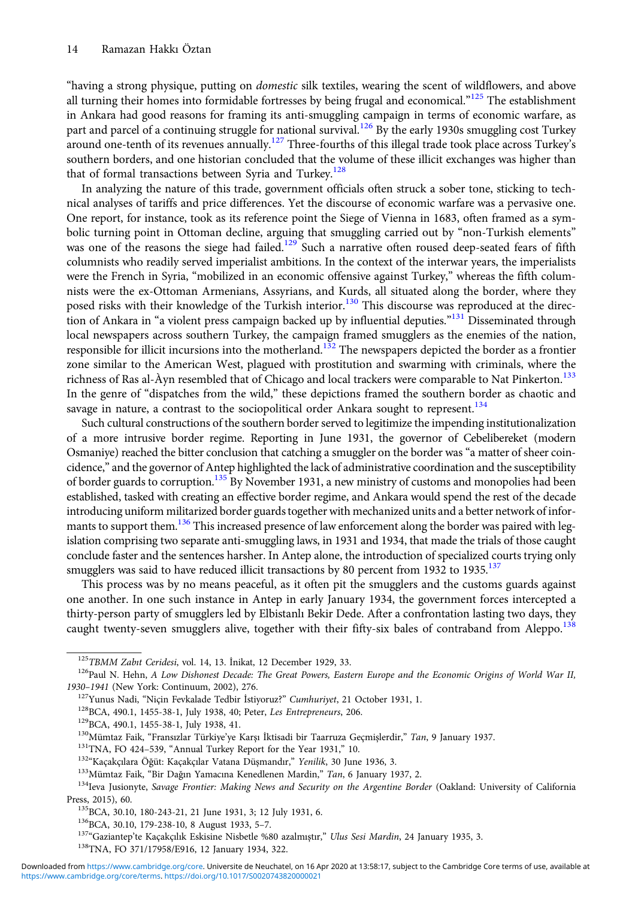"having a strong physique, putting on domestic silk textiles, wearing the scent of wildflowers, and above all turning their homes into formidable fortresses by being frugal and economical."<sup>125</sup> The establishment in Ankara had good reasons for framing its anti-smuggling campaign in terms of economic warfare, as part and parcel of a continuing struggle for national survival.<sup>126</sup> By the early 1930s smuggling cost Turkey around one-tenth of its revenues annually.<sup>127</sup> Three-fourths of this illegal trade took place across Turkey's southern borders, and one historian concluded that the volume of these illicit exchanges was higher than that of formal transactions between Syria and Turkey.<sup>128</sup>

In analyzing the nature of this trade, government officials often struck a sober tone, sticking to technical analyses of tariffs and price differences. Yet the discourse of economic warfare was a pervasive one. One report, for instance, took as its reference point the Siege of Vienna in 1683, often framed as a symbolic turning point in Ottoman decline, arguing that smuggling carried out by "non-Turkish elements" was one of the reasons the siege had failed.<sup>129</sup> Such a narrative often roused deep-seated fears of fifth columnists who readily served imperialist ambitions. In the context of the interwar years, the imperialists were the French in Syria, "mobilized in an economic offensive against Turkey," whereas the fifth columnists were the ex-Ottoman Armenians, Assyrians, and Kurds, all situated along the border, where they posed risks with their knowledge of the Turkish interior.<sup>130</sup> This discourse was reproduced at the direction of Ankara in "a violent press campaign backed up by influential deputies."<sup>131</sup> Disseminated through local newspapers across southern Turkey, the campaign framed smugglers as the enemies of the nation, responsible for illicit incursions into the motherland.<sup>132</sup> The newspapers depicted the border as a frontier zone similar to the American West, plagued with prostitution and swarming with criminals, where the richness of Ras al-Àyn resembled that of Chicago and local trackers were comparable to Nat Pinkerton.<sup>133</sup> In the genre of "dispatches from the wild," these depictions framed the southern border as chaotic and savage in nature, a contrast to the sociopolitical order Ankara sought to represent.<sup>134</sup>

Such cultural constructions of the southern border served to legitimize the impending institutionalization of a more intrusive border regime. Reporting in June 1931, the governor of Cebelibereket (modern Osmaniye) reached the bitter conclusion that catching a smuggler on the border was "a matter of sheer coincidence," and the governor of Antep highlighted the lack of administrative coordination and the susceptibility of border guards to corruption.<sup>135</sup> By November 1931, a new ministry of customs and monopolies had been established, tasked with creating an effective border regime, and Ankara would spend the rest of the decade introducing uniform militarized border guards together with mechanized units and a better network of informants to support them.<sup>136</sup> This increased presence of law enforcement along the border was paired with legislation comprising two separate anti-smuggling laws, in 1931 and 1934, that made the trials of those caught conclude faster and the sentences harsher. In Antep alone, the introduction of specialized courts trying only smugglers was said to have reduced illicit transactions by 80 percent from 1932 to 1935.<sup>137</sup>

This process was by no means peaceful, as it often pit the smugglers and the customs guards against one another. In one such instance in Antep in early January 1934, the government forces intercepted a thirty-person party of smugglers led by Elbistanlı Bekir Dede. After a confrontation lasting two days, they caught twenty-seven smugglers alive, together with their fifty-six bales of contraband from Aleppo.<sup>138</sup>

<sup>&</sup>lt;sup>125</sup>TBMM Zabıt Ceridesi, vol. 14, 13. İnikat, 12 December 1929, 33.<br><sup>126</sup>Paul N. Hehn, A Low Dishonest Decade: The Great Powers, Eastern Europe and the Economic Origins of World War II, 1930–1941 (New York: Continuum, 2002), 276.<br>
<sup>127</sup>Yunus Nadi, "Niçin Fevkalade Tedbir İstiyoruz?" *Cumhuriyet*, 21 October 1931, 1.<br>
<sup>128</sup>BCA, 490.1, 1455-38-1, July 1938, 40; Peter, *Les Entrepreneurs*, 206.<br>
<sup>129</sup>BCA, 4

Press, 2015), 60.<br><sup>135</sup>BCA, 30.10, 180-243-21, 21 June 1931, 3; 12 July 1931, 6.<br><sup>136</sup>BCA, 30.10, 179-238-10, 8 August 1933, 5–7.<br><sup>137</sup>"Gaziantep'te Kaçakçılık Eskisine Nisbetle %80 azalmıştır," *Ulus Sesi Mardin*, 24 Janu

[https://www.cambridge.org/core/terms.](https://www.cambridge.org/core/terms) <https://doi.org/10.1017/S0020743820000021> Downloaded from [https://www.cambridge.org/core.](https://www.cambridge.org/core) Universite de Neuchatel, on 16 Apr 2020 at 13:58:17, subject to the Cambridge Core terms of use, available at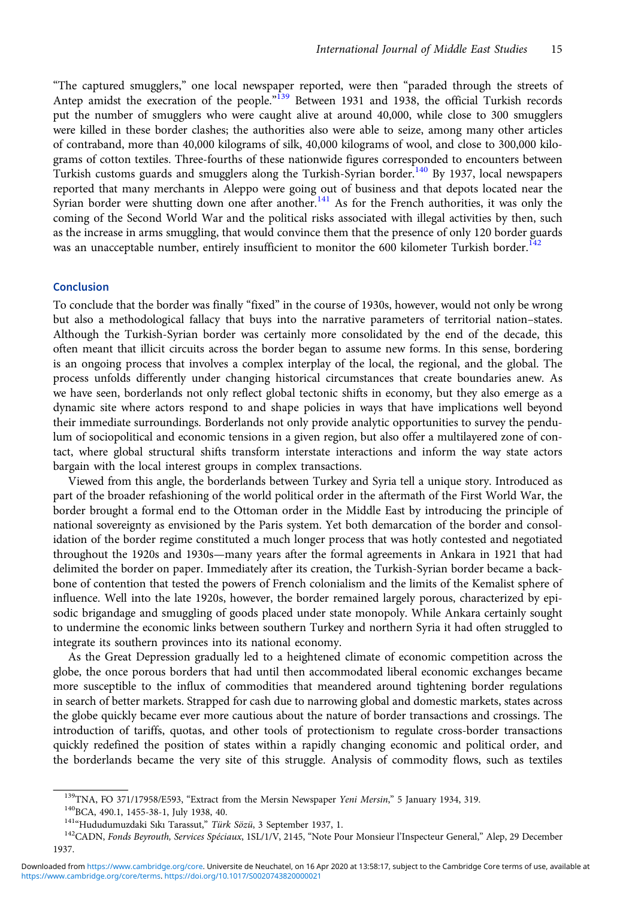"The captured smugglers," one local newspaper reported, were then "paraded through the streets of Antep amidst the execration of the people."<sup>139</sup> Between 1931 and 1938, the official Turkish records put the number of smugglers who were caught alive at around 40,000, while close to 300 smugglers were killed in these border clashes; the authorities also were able to seize, among many other articles of contraband, more than 40,000 kilograms of silk, 40,000 kilograms of wool, and close to 300,000 kilograms of cotton textiles. Three-fourths of these nationwide figures corresponded to encounters between Turkish customs guards and smugglers along the Turkish-Syrian border.<sup>140</sup> By 1937, local newspapers reported that many merchants in Aleppo were going out of business and that depots located near the Syrian border were shutting down one after another.<sup>141</sup> As for the French authorities, it was only the coming of the Second World War and the political risks associated with illegal activities by then, such as the increase in arms smuggling, that would convince them that the presence of only 120 border guards was an unacceptable number, entirely insufficient to monitor the 600 kilometer Turkish border.<sup>142</sup>

# Conclusion

To conclude that the border was finally "fixed" in the course of 1930s, however, would not only be wrong but also a methodological fallacy that buys into the narrative parameters of territorial nation–states. Although the Turkish-Syrian border was certainly more consolidated by the end of the decade, this often meant that illicit circuits across the border began to assume new forms. In this sense, bordering is an ongoing process that involves a complex interplay of the local, the regional, and the global. The process unfolds differently under changing historical circumstances that create boundaries anew. As we have seen, borderlands not only reflect global tectonic shifts in economy, but they also emerge as a dynamic site where actors respond to and shape policies in ways that have implications well beyond their immediate surroundings. Borderlands not only provide analytic opportunities to survey the pendulum of sociopolitical and economic tensions in a given region, but also offer a multilayered zone of contact, where global structural shifts transform interstate interactions and inform the way state actors bargain with the local interest groups in complex transactions.

Viewed from this angle, the borderlands between Turkey and Syria tell a unique story. Introduced as part of the broader refashioning of the world political order in the aftermath of the First World War, the border brought a formal end to the Ottoman order in the Middle East by introducing the principle of national sovereignty as envisioned by the Paris system. Yet both demarcation of the border and consolidation of the border regime constituted a much longer process that was hotly contested and negotiated throughout the 1920s and 1930s—many years after the formal agreements in Ankara in 1921 that had delimited the border on paper. Immediately after its creation, the Turkish-Syrian border became a backbone of contention that tested the powers of French colonialism and the limits of the Kemalist sphere of influence. Well into the late 1920s, however, the border remained largely porous, characterized by episodic brigandage and smuggling of goods placed under state monopoly. While Ankara certainly sought to undermine the economic links between southern Turkey and northern Syria it had often struggled to integrate its southern provinces into its national economy.

As the Great Depression gradually led to a heightened climate of economic competition across the globe, the once porous borders that had until then accommodated liberal economic exchanges became more susceptible to the influx of commodities that meandered around tightening border regulations in search of better markets. Strapped for cash due to narrowing global and domestic markets, states across the globe quickly became ever more cautious about the nature of border transactions and crossings. The introduction of tariffs, quotas, and other tools of protectionism to regulate cross-border transactions quickly redefined the position of states within a rapidly changing economic and political order, and the borderlands became the very site of this struggle. Analysis of commodity flows, such as textiles

<sup>&</sup>lt;sup>139</sup>TNA, FO 371/17958/E593, "Extract from the Mersin Newspaper *Yeni Mersin*," 5 January 1934, 319.<br><sup>140</sup>BCA, 490.1, 1455-38-1, July 1938, 40.<br><sup>141</sup>"Hududumuzdaki Sıkı Tarassut," *Türk Sözü*, 3 September 1937, 1.<br><sup>142</sup>CAD 1937.